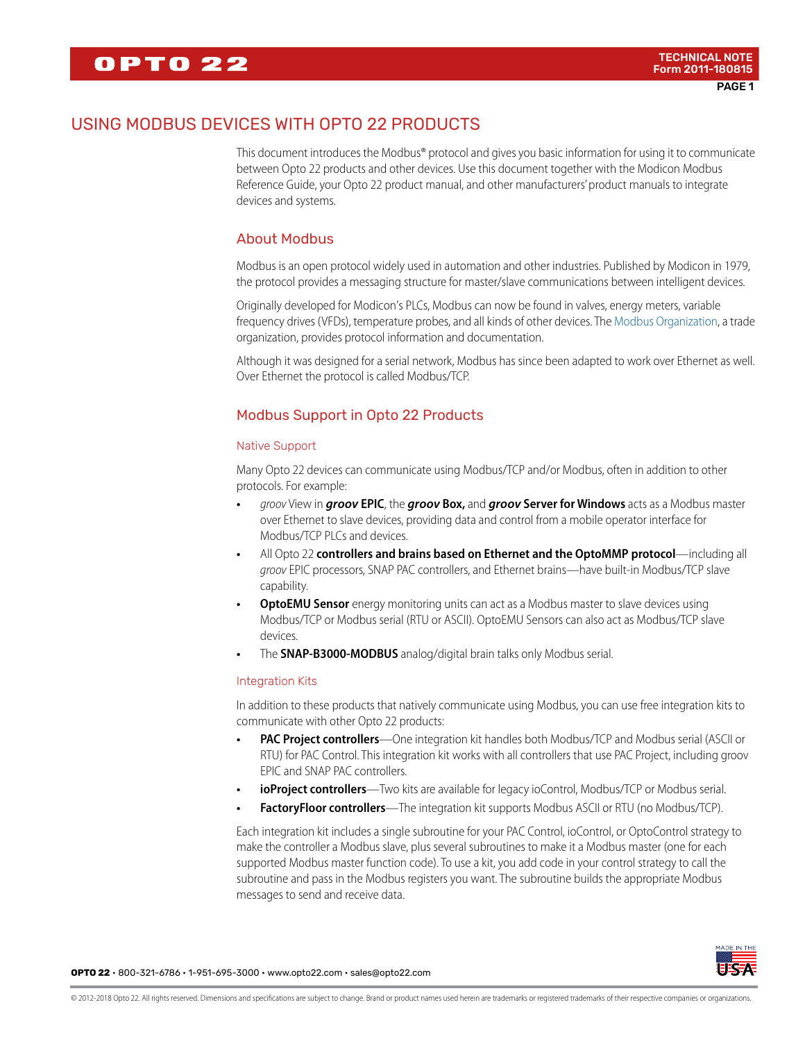# USING MODBUS DEVICES WITH OPTO 22 PRODUCTS

This document introduces the Modbus® protocol and gives you basic information for using it to communicate between Opto 22 products and other devices. Use this document together with the Modicon Modbus Reference Guide, your Opto 22 product manual, and other manufacturers' product manuals to integrate devices and systems.

### About Modbus

Modbus is an open protocol widely used in automation and other industries. Published by Modicon in 1979, the protocol provides a messaging structure for master/slave communications between intelligent devices.

Originally developed for Modicon's PLCs, Modbus can now be found in valves, energy meters, variable frequency drives (VFDs), temperature probes, and all kinds of other devices. The [Modbus Organization,](http://modbus.org/) a trade organization, provides protocol information and documentation.

Although it was designed for a serial network, Modbus has since been adapted to work over Ethernet as well. Over Ethernet the protocol is called Modbus/TCP.

## Modbus Support in Opto 22 Products

### Native Support

Many Opto 22 devices can communicate using Modbus/TCP and/or Modbus, often in addition to other protocols. For example:

- **•** *groov* View in *groov* **EPIC**, the *groov* **Box,** and *groov* **Server for Windows** acts as a Modbus master over Ethernet to slave devices, providing data and control from a mobile operator interface for Modbus/TCP PLCs and devices.
- **•** All Opto 22 **controllers and brains based on Ethernet and the OptoMMP protocol**—including all *groov* EPIC processors, SNAP PAC controllers, and Ethernet brains—have built-in Modbus/TCP slave capability.
- **OptoEMU Sensor** energy monitoring units can act as a Modbus master to slave devices using Modbus/TCP or Modbus serial (RTU or ASCII). OptoEMU Sensors can also act as Modbus/TCP slave devices.
- **•** The **SNAP-B3000-MODBUS** analog/digital brain talks only Modbus serial.

#### Integration Kits

In addition to these products that natively communicate using Modbus, you can use free integration kits to communicate with other Opto 22 products:

- **PAC Project controllers**—One integration kit handles both Modbus/TCP and Modbus serial (ASCII or RTU) for PAC Control. This integration kit works with all controllers that use PAC Project, including groov EPIC and SNAP PAC controllers.
- **ioProject controllers**—Two kits are available for legacy ioControl, Modbus/TCP or Modbus serial.
- **FactoryFloor controllers**—The integration kit supports Modbus ASCII or RTU (no Modbus/TCP).

Each integration kit includes a single subroutine for your PAC Control, ioControl, or OptoControl strategy to make the controller a Modbus slave, plus several subroutines to make it a Modbus master (one for each supported Modbus master function code). To use a kit, you add code in your control strategy to call the subroutine and pass in the Modbus registers you want. The subroutine builds the appropriate Modbus messages to send and receive data.

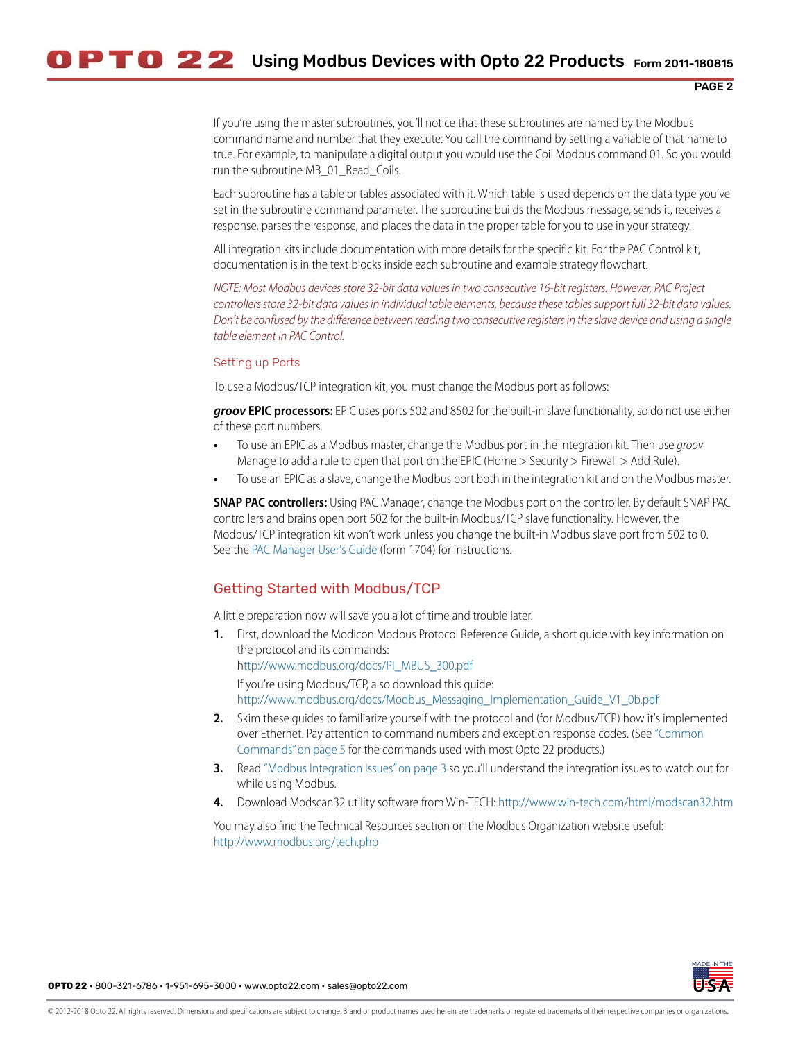If you're using the master subroutines, you'll notice that these subroutines are named by the Modbus command name and number that they execute. You call the command by setting a variable of that name to true. For example, to manipulate a digital output you would use the Coil Modbus command 01. So you would run the subroutine MB 01 Read Coils.

Each subroutine has a table or tables associated with it. Which table is used depends on the data type you've set in the subroutine command parameter. The subroutine builds the Modbus message, sends it, receives a response, parses the response, and places the data in the proper table for you to use in your strategy.

All integration kits include documentation with more details for the specific kit. For the PAC Control kit, documentation is in the text blocks inside each subroutine and example strategy flowchart.

*NOTE: Most Modbus devices store 32-bit data values in two consecutive 16-bit registers. However, PAC Project controllers store 32-bit data values in individual table elements, because these tables support full 32-bit data values. Don't be confused by the difference between reading two consecutive registers in the slave device and using a single table element in PAC Control.*

#### <span id="page-1-0"></span>Setting up Ports

To use a Modbus/TCP integration kit, you must change the Modbus port as follows:

*groov* **EPIC processors:** EPIC uses ports 502 and 8502 for the built-in slave functionality, so do not use either of these port numbers.

- **•** To use an EPIC as a Modbus master, change the Modbus port in the integration kit. Then use *groov* Manage to add a rule to open that port on the EPIC (Home > Security > Firewall > Add Rule).
- **•** To use an EPIC as a slave, change the Modbus port both in the integration kit and on the Modbus master.

**SNAP PAC controllers:** Using PAC Manager, change the Modbus port on the controller. By default SNAP PAC controllers and brains open port 502 for the built-in Modbus/TCP slave functionality. However, the Modbus/TCP integration kit won't work unless you change the built-in Modbus slave port from 502 to 0. See the [PAC Manager User's Guide](https://www.opto22.com/support/resources-tools/documents/1704-pac-manager-users-guide) (form 1704) for instructions.

### Getting Started with Modbus/TCP

A little preparation now will save you a lot of time and trouble later.

- **1.** First, download the Modicon Modbus Protocol Reference Guide, a short guide with key information on the protocol and its commands: [http://www.modbus.org/docs/PI\\_MBUS\\_300.pdf](http://www.modbus.org/docs/PI_MBUS_300.pdf) If you're using Modbus/TCP, also download this guide: [http://www.modbus.org/docs/Modbus\\_Messaging\\_Implementation\\_Guide\\_V1\\_0b.pdf](http://www.modbus.org/docs/Modbus_Messaging_Implementation_Guide_V1_0b.pdf)
- **2.** Skim these guides to familiarize yourself with the protocol and (for Modbus/TCP) how it's implemented over Ethernet. Pay attention to command numbers and exception response codes. (See ["Common](#page-4-0)  [Commands" on page 5](#page-4-0) for the commands used with most Opto 22 products.)
- **3.** Read ["Modbus Integration Issues" on page 3](#page-2-0) so you'll understand the integration issues to watch out for while using Modbus.
- **4.** Download Modscan32 utility software from Win-TECH:<http://www.win-tech.com/html/modscan32.htm>

You may also find the Technical Resources section on the Modbus Organization website useful: <http://www.modbus.org/tech.php>

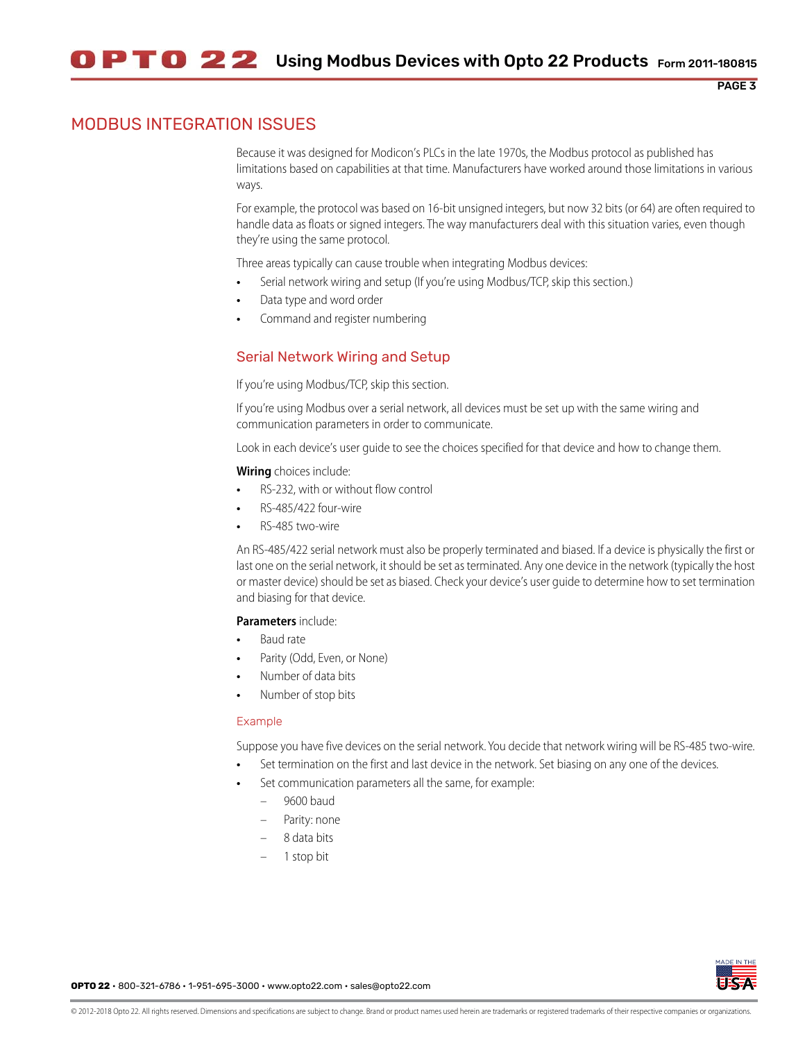## <span id="page-2-0"></span>MODBUS INTEGRATION ISSUES

Because it was designed for Modicon's PLCs in the late 1970s, the Modbus protocol as published has limitations based on capabilities at that time. Manufacturers have worked around those limitations in various ways.

For example, the protocol was based on 16-bit unsigned integers, but now 32 bits (or 64) are often required to handle data as floats or signed integers. The way manufacturers deal with this situation varies, even though they're using the same protocol.

Three areas typically can cause trouble when integrating Modbus devices:

- **•** Serial network wiring and setup (If you're using Modbus/TCP, skip this section.)
- **•** Data type and word order
- **•** Command and register numbering

### Serial Network Wiring and Setup

If you're using Modbus/TCP, skip this section.

If you're using Modbus over a serial network, all devices must be set up with the same wiring and communication parameters in order to communicate.

Look in each device's user guide to see the choices specified for that device and how to change them.

#### **Wiring** choices include:

- **•** RS-232, with or without flow control
- **•** RS-485/422 four-wire
- **•** RS-485 two-wire

An RS-485/422 serial network must also be properly terminated and biased. If a device is physically the first or last one on the serial network, it should be set as terminated. Any one device in the network (typically the host or master device) should be set as biased. Check your device's user guide to determine how to set termination and biasing for that device.

#### **Parameters** include:

- **•** Baud rate
- **•** Parity (Odd, Even, or None)
- **•** Number of data bits
- **•** Number of stop bits

#### Example

Suppose you have five devices on the serial network. You decide that network wiring will be RS-485 two-wire.

- **•** Set termination on the first and last device in the network. Set biasing on any one of the devices.
- **•** Set communication parameters all the same, for example:
	- 9600 baud
	- Parity: none
	- 8 data bits
	- 1 stop bit



PAGE 3

**OPTO 22** • 800-321-6786 • 1-951-695-3000 • www.opto22.com • sales@opto22.com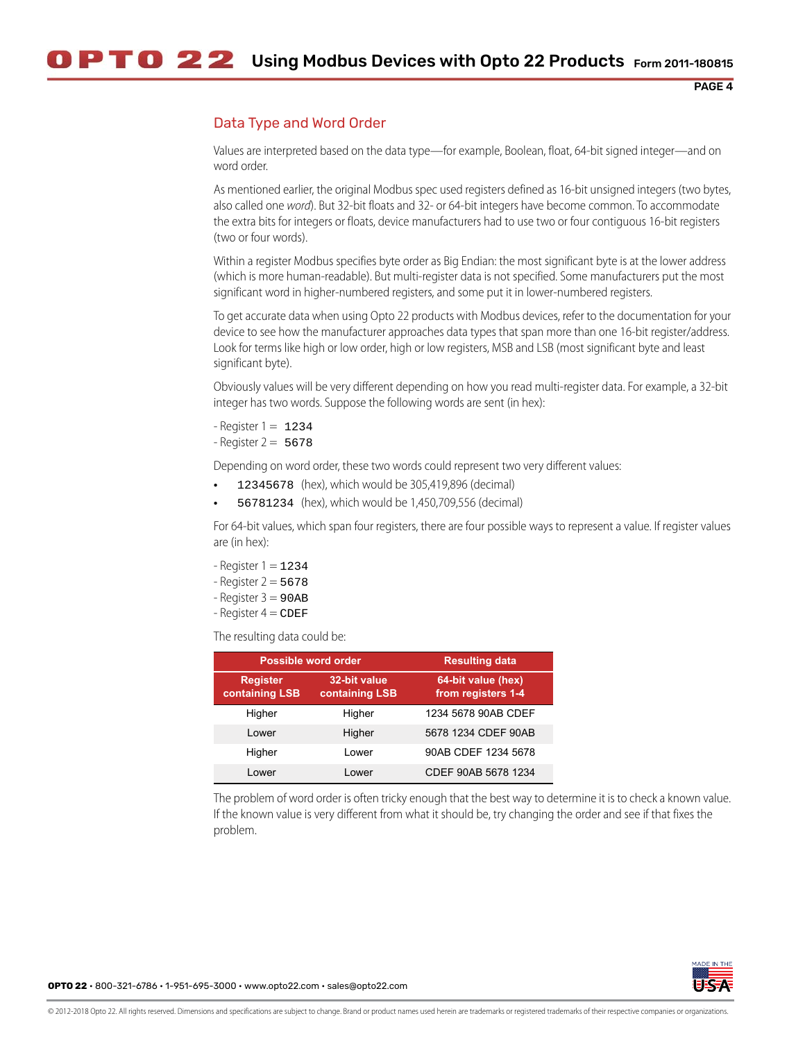## <span id="page-3-0"></span>Data Type and Word Order

Values are interpreted based on the data type—for example, Boolean, float, 64-bit signed integer—and on word order.

As mentioned earlier, the original Modbus spec used registers defined as 16-bit unsigned integers (two bytes, also called one *word*). But 32-bit floats and 32- or 64-bit integers have become common. To accommodate the extra bits for integers or floats, device manufacturers had to use two or four contiguous 16-bit registers (two or four words).

Within a register Modbus specifies byte order as Big Endian: the most significant byte is at the lower address (which is more human-readable). But multi-register data is not specified. Some manufacturers put the most significant word in higher-numbered registers, and some put it in lower-numbered registers.

To get accurate data when using Opto 22 products with Modbus devices, refer to the documentation for your device to see how the manufacturer approaches data types that span more than one 16-bit register/address. Look for terms like high or low order, high or low registers, MSB and LSB (most significant byte and least significant byte).

Obviously values will be very different depending on how you read multi-register data. For example, a 32-bit integer has two words. Suppose the following words are sent (in hex):

 $-$  Register  $1 = 1234$ 

 $-$  Register 2 = 5678

Depending on word order, these two words could represent two very different values:

- **•** 12345678 (hex), which would be 305,419,896 (decimal)
- **•** 56781234 (hex), which would be 1,450,709,556 (decimal)

For 64-bit values, which span four registers, there are four possible ways to represent a value. If register values are (in hex):

- $-$  Register  $1 = 1234$
- $-$  Register 2 = 5678
- $-$  Register  $3 = 90AB$
- $-$  Register  $4 =$  CDEF

The resulting data could be:

| Possible word order               |                                       | <b>Resulting data</b>                    |
|-----------------------------------|---------------------------------------|------------------------------------------|
| <b>Register</b><br>containing LSB | 32-bit value<br><b>containing LSB</b> | 64-bit value (hex)<br>from registers 1-4 |
| Higher                            | Higher                                | 1234 5678 90AB CDEF                      |
| I ower                            | Higher                                | 5678 1234 CDEF 90AB                      |
| Higher                            | Lower                                 | 90AB CDEF 1234 5678                      |
| Lower                             | Lower                                 | CDEF 90AB 5678 1234                      |

The problem of word order is often tricky enough that the best way to determine it is to check a known value. If the known value is very different from what it should be, try changing the order and see if that fixes the problem.

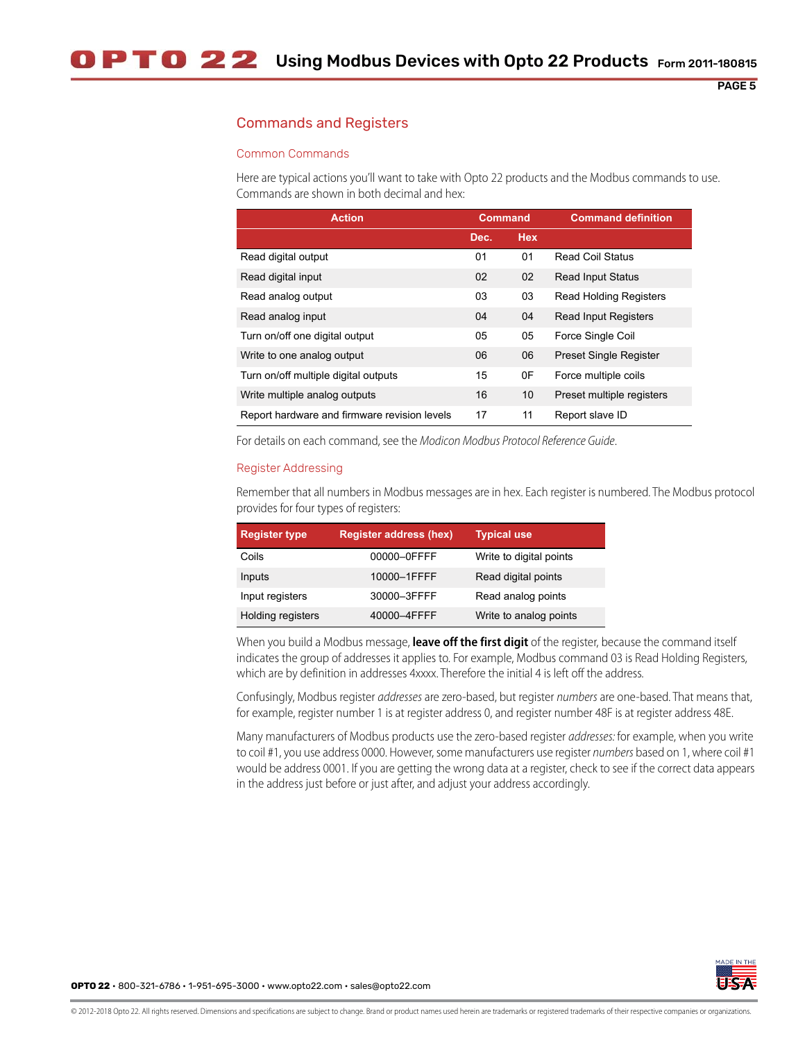## Commands and Registers

#### <span id="page-4-0"></span>Common Commands

Here are typical actions you'll want to take with Opto 22 products and the Modbus commands to use. Commands are shown in both decimal and hex:

| <b>Action</b>                                | <b>Command</b> |            | <b>Command definition</b>     |
|----------------------------------------------|----------------|------------|-------------------------------|
|                                              | Dec.           | <b>Hex</b> |                               |
| Read digital output                          | 01             | 01         | <b>Read Coil Status</b>       |
| Read digital input                           | 02             | 02         | <b>Read Input Status</b>      |
| Read analog output                           | 03             | 03         | <b>Read Holding Registers</b> |
| Read analog input                            | 04             | 04         | <b>Read Input Registers</b>   |
| Turn on/off one digital output               | 05             | 05         | Force Single Coil             |
| Write to one analog output                   | 06             | 06         | Preset Single Register        |
| Turn on/off multiple digital outputs         | 15             | 0F         | Force multiple coils          |
| Write multiple analog outputs                | 16             | 10         | Preset multiple registers     |
| Report hardware and firmware revision levels | 17             | 11         | Report slave ID               |

For details on each command, see the *Modicon Modbus Protocol Reference Guide*.

#### Register Addressing

Remember that all numbers in Modbus messages are in hex. Each register is numbered. The Modbus protocol provides for four types of registers:

| <b>Register type</b> | <b>Register address (hex)</b> | <b>Typical use</b>      |
|----------------------|-------------------------------|-------------------------|
| Coils                | 00000-0FFFF                   | Write to digital points |
| Inputs               | 10000-1FFFF                   | Read digital points     |
| Input registers      | 30000-3FFFF                   | Read analog points      |
| Holding registers    | 40000-4FFFF                   | Write to analog points  |

When you build a Modbus message, **leave off the first digit** of the register, because the command itself indicates the group of addresses it applies to. For example, Modbus command 03 is Read Holding Registers, which are by definition in addresses 4xxxx. Therefore the initial 4 is left off the address.

Confusingly, Modbus register *addresses* are zero-based, but register *numbers* are one-based. That means that, for example, register number 1 is at register address 0, and register number 48F is at register address 48E.

Many manufacturers of Modbus products use the zero-based register *addresses:* for example, when you write to coil #1, you use address 0000. However, some manufacturers use register *numbers* based on 1, where coil #1 would be address 0001. If you are getting the wrong data at a register, check to see if the correct data appears in the address just before or just after, and adjust your address accordingly.

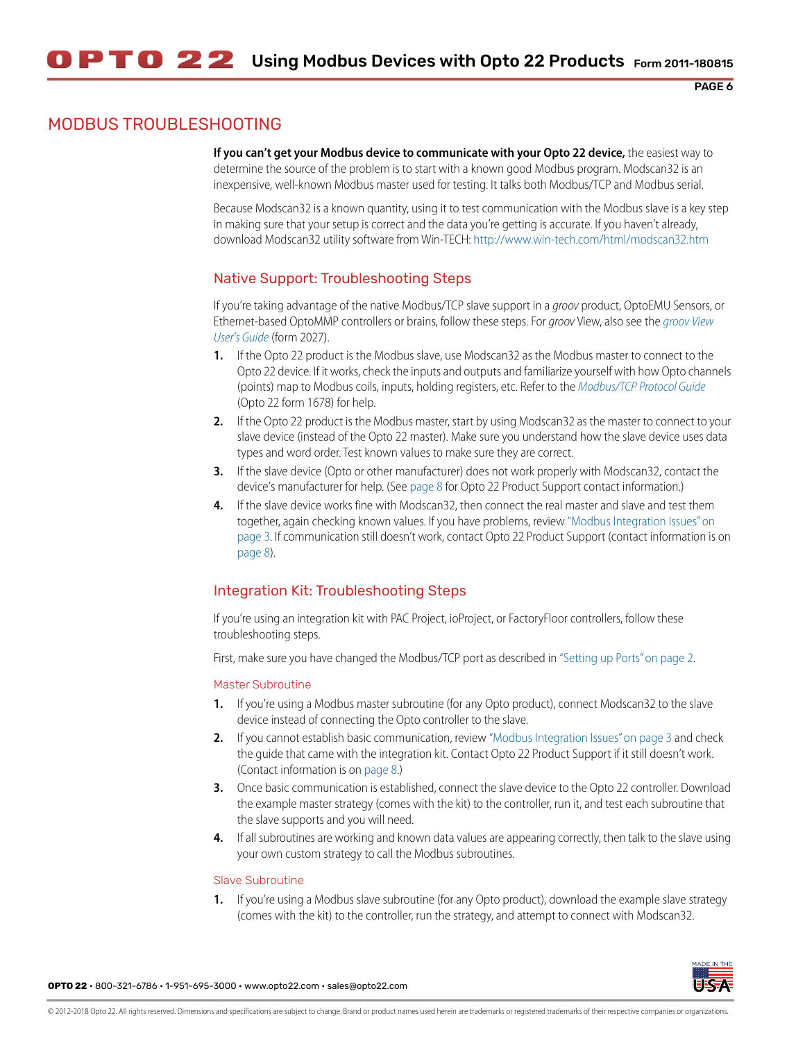# MODBUS TROUBLESHOOTING

**If you can't get your Modbus device to communicate with your Opto 22 device,** the easiest way to determine the source of the problem is to start with a known good Modbus program. Modscan32 is an inexpensive, well-known Modbus master used for testing. It talks both Modbus/TCP and Modbus serial.

Because Modscan32 is a known quantity, using it to test communication with the Modbus slave is a key step in making sure that your setup is correct and the data you're getting is accurate. If you haven't already, download Modscan32 utility software from Win-TECH:<http://www.win-tech.com/html/modscan32.htm>

## Native Support: Troubleshooting Steps

If you're taking advantage of the native Modbus/TCP slave support in a *groov* product, OptoEMU Sensors, or Ethernet-based OptoMMP controllers or brains, follow these steps. For *groov* View, also see the *[groov View](https://www.opto22.com/support/resources-tools/documents/2027-groov-view-users-guide)  [User's Guide](https://www.opto22.com/support/resources-tools/documents/2027-groov-view-users-guide)* (form 2027).

- **1.** If the Opto 22 product is the Modbus slave, use Modscan32 as the Modbus master to connect to the Opto 22 device. If it works, check the inputs and outputs and familiarize yourself with how Opto channels (points) map to Modbus coils, inputs, holding registers, etc. Refer to the *[Modbus/TCP Protocol Guide](https://www.opto22.com/support/resources-tools/documents/1678-modbus-tcp-protocol-guide)* (Opto 22 form 1678) for help.
- **2.** If the Opto 22 product is the Modbus master, start by using Modscan32 as the master to connect to your slave device (instead of the Opto 22 master). Make sure you understand how the slave device uses data types and word order. Test known values to make sure they are correct.
- **3.** If the slave device (Opto or other manufacturer) does not work properly with Modscan32, contact the device's manufacturer for help. (See [page 8](#page-7-0) for Opto 22 Product Support contact information.)
- **4.** If the slave device works fine with Modscan32, then connect the real master and slave and test them together, again checking known values. If you have problems, review ["Modbus Integration Issues" on](#page-2-0)  [page 3](#page-2-0). If communication still doesn't work, contact Opto 22 Product Support (contact information is on [page 8](#page-7-0)).

## Integration Kit: Troubleshooting Steps

If you're using an integration kit with PAC Project, ioProject, or FactoryFloor controllers, follow these troubleshooting steps.

First, make sure you have changed the Modbus/TCP port as described in ["Setting up Ports" on page 2](#page-1-0).

### Master Subroutine

- **1.** If you're using a Modbus master subroutine (for any Opto product), connect Modscan32 to the slave device instead of connecting the Opto controller to the slave.
- **2.** If you cannot establish basic communication, review ["Modbus Integration Issues" on page 3](#page-2-0) and check the guide that came with the integration kit. Contact Opto 22 Product Support if it still doesn't work. (Contact information is on [page 8](#page-7-0).)
- **3.** Once basic communication is established, connect the slave device to the Opto 22 controller. Download the example master strategy (comes with the kit) to the controller, run it, and test each subroutine that the slave supports and you will need.
- **4.** If all subroutines are working and known data values are appearing correctly, then talk to the slave using your own custom strategy to call the Modbus subroutines.

#### Slave Subroutine

**1.** If you're using a Modbus slave subroutine (for any Opto product), download the example slave strategy (comes with the kit) to the controller, run the strategy, and attempt to connect with Modscan32.

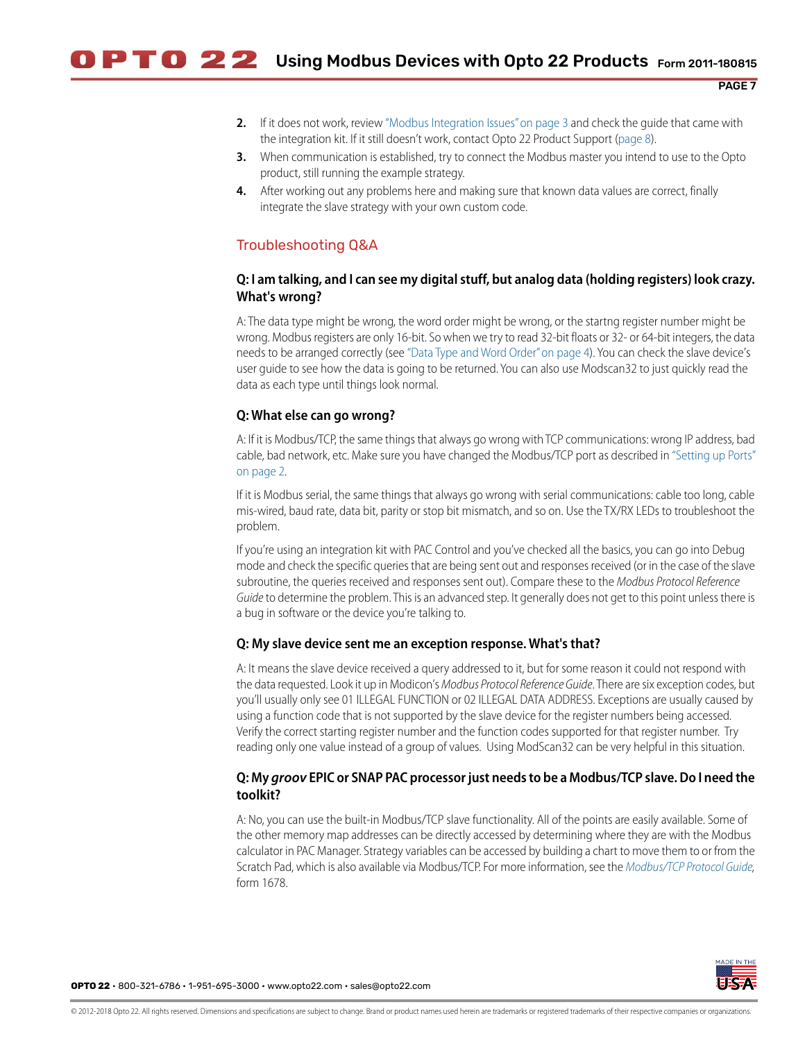- **2.** If it does not work, review ["Modbus Integration Issues" on page 3](#page-2-0) and check the guide that came with the integration kit. If it still doesn't work, contact Opto 22 Product Support [\(page 8](#page-7-0)).
- **3.** When communication is established, try to connect the Modbus master you intend to use to the Opto product, still running the example strategy.
- **4.** After working out any problems here and making sure that known data values are correct, finally integrate the slave strategy with your own custom code.

## Troubleshooting Q&A

### **Q: I am talking, and I can see my digital stuff, but analog data (holding registers) look crazy. What's wrong?**

A: The data type might be wrong, the word order might be wrong, or the startng register number might be wrong. Modbus registers are only 16-bit. So when we try to read 32-bit floats or 32- or 64-bit integers, the data needs to be arranged correctly (see ["Data Type and Word Order" on page 4\)](#page-3-0). You can check the slave device's user guide to see how the data is going to be returned. You can also use Modscan32 to just quickly read the data as each type until things look normal.

### **Q: What else can go wrong?**

A: If it is Modbus/TCP, the same things that always go wrong with TCP communications: wrong IP address, bad cable, bad network, etc. Make sure you have changed the Modbus/TCP port as described in ["Setting up Ports"](#page-1-0)  [on page 2.](#page-1-0)

If it is Modbus serial, the same things that always go wrong with serial communications: cable too long, cable mis-wired, baud rate, data bit, parity or stop bit mismatch, and so on. Use the TX/RX LEDs to troubleshoot the problem.

If you're using an integration kit with PAC Control and you've checked all the basics, you can go into Debug mode and check the specific queries that are being sent out and responses received (or in the case of the slave subroutine, the queries received and responses sent out). Compare these to the *Modbus Protocol Reference Guide* to determine the problem. This is an advanced step. It generally does not get to this point unless there is a bug in software or the device you're talking to.

### **Q: My slave device sent me an exception response. What's that?**

A: It means the slave device received a query addressed to it, but for some reason it could not respond with the data requested. Look it up in Modicon's *Modbus Protocol Reference Guide*. There are six exception codes, but you'll usually only see 01 ILLEGAL FUNCTION or 02 ILLEGAL DATA ADDRESS. Exceptions are usually caused by using a function code that is not supported by the slave device for the register numbers being accessed. Verify the correct starting register number and the function codes supported for that register number. Try reading only one value instead of a group of values. Using ModScan32 can be very helpful in this situation.

### **Q: My** *groov* **EPIC or SNAP PAC processor just needs to be a Modbus/TCP slave. Do I need the toolkit?**

A: No, you can use the built-in Modbus/TCP slave functionality. All of the points are easily available. Some of the other memory map addresses can be directly accessed by determining where they are with the Modbus calculator in PAC Manager. Strategy variables can be accessed by building a chart to move them to or from the Scratch Pad, which is also available via Modbus/TCP. For more information, see the *[Modbus/TCP Protocol Guide,](https://www.opto22.com/support/resources-tools/documents/1678-modbus-tcp-protocol-guide)* form 1678.